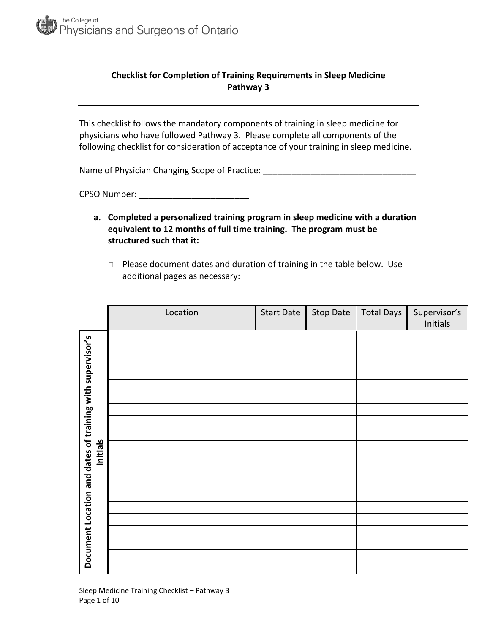

## **Checklist for Completion of Training Requirements in Sleep Medicine Pathway 3**

This checklist follows the mandatory components of training in sleep medicine for physicians who have followed Pathway 3. Please complete all components of the following checklist for consideration of acceptance of your training in sleep medicine.

Name of Physician Changing Scope of Practice: \_\_\_\_\_\_\_\_\_\_\_\_\_\_\_\_\_\_\_\_\_\_\_\_\_\_\_\_\_\_\_\_\_\_

CPSO Number: \_\_\_\_\_\_\_\_\_\_\_\_\_\_\_\_\_\_\_\_\_\_\_

- **a. Completed a personalized training program in sleep medicine with a duration equivalent to 12 months of full time training. The program must be structured such that it:**
	- □ Please document dates and duration of training in the table below. Use additional pages as necessary:

|                                                           | Location | <b>Start Date</b> | Stop Date | <b>Total Days</b> | Supervisor's<br>Initials |
|-----------------------------------------------------------|----------|-------------------|-----------|-------------------|--------------------------|
|                                                           |          |                   |           |                   |                          |
|                                                           |          |                   |           |                   |                          |
|                                                           |          |                   |           |                   |                          |
|                                                           |          |                   |           |                   |                          |
|                                                           |          |                   |           |                   |                          |
|                                                           |          |                   |           |                   |                          |
|                                                           |          |                   |           |                   |                          |
|                                                           |          |                   |           |                   |                          |
|                                                           |          |                   |           |                   |                          |
| initials                                                  |          |                   |           |                   |                          |
|                                                           |          |                   |           |                   |                          |
|                                                           |          |                   |           |                   |                          |
|                                                           |          |                   |           |                   |                          |
|                                                           |          |                   |           |                   |                          |
|                                                           |          |                   |           |                   |                          |
|                                                           |          |                   |           |                   |                          |
| Document Location and dates of training with supervisor's |          |                   |           |                   |                          |
|                                                           |          |                   |           |                   |                          |
|                                                           |          |                   |           |                   |                          |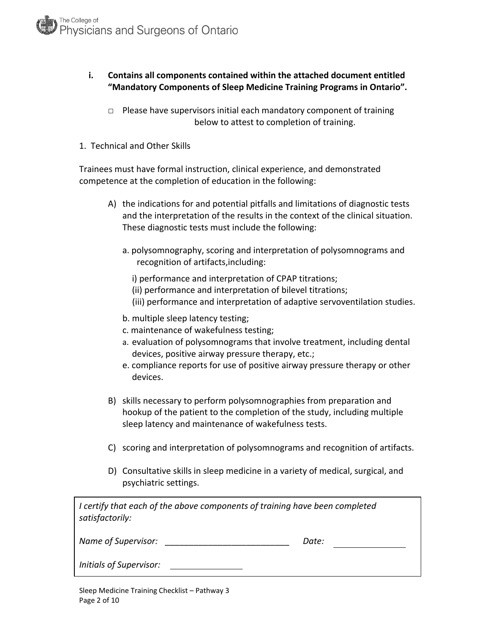## **i. Contains all components contained within the attached document entitled "Mandatory Components of Sleep Medicine Training Programs in Ontario".**

- $\Box$  Please have supervisors initial each mandatory component of training below to attest to completion of training.
- 1. Technical and Other Skills

Trainees must have formal instruction, clinical experience, and demonstrated competence at the completion of education in the following:

- A) the indications for and potential pitfalls and limitations of diagnostic tests and the interpretation of the results in the context of the clinical situation. These diagnostic tests must include the following:
	- a. polysomnography, scoring and interpretation of polysomnograms and recognition of artifacts,including:
		- i) performance and interpretation of CPAP titrations;
		- (ii) performance and interpretation of bilevel titrations;
		- (iii) performance and interpretation of adaptive servoventilation studies.
	- b. multiple sleep latency testing;
	- c. maintenance of wakefulness testing;
	- a. evaluation of polysomnograms that involve treatment, including dental devices, positive airway pressure therapy, etc.;
	- e. compliance reports for use of positive airway pressure therapy or other devices.
- B) skills necessary to perform polysomnographies from preparation and hookup of the patient to the completion of the study, including multiple sleep latency and maintenance of wakefulness tests.
- C) scoring and interpretation of polysomnograms and recognition of artifacts.
- D) Consultative skills in sleep medicine in a variety of medical, surgical, and psychiatric settings.

| I certify that each of the above components of training have been completed<br>satisfactorily: |       |
|------------------------------------------------------------------------------------------------|-------|
| Name of Supervisor:                                                                            | Date: |

|  |  | Initials of Supervisor: |
|--|--|-------------------------|
|--|--|-------------------------|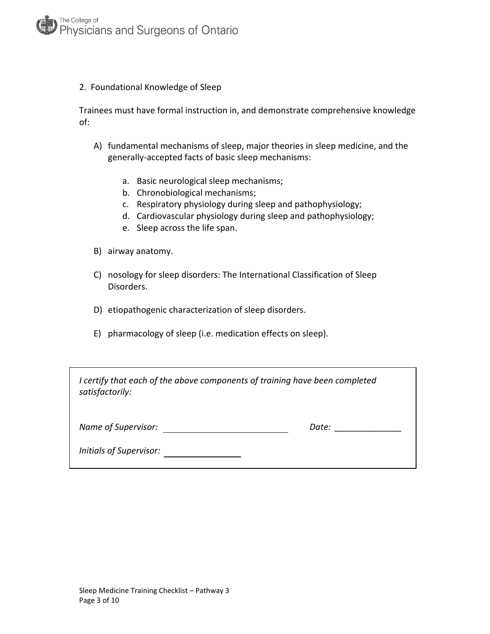#### 2. Foundational Knowledge of Sleep

Trainees must have formal instruction in, and demonstrate comprehensive knowledge of:

- A) fundamental mechanisms of sleep, major theories in sleep medicine, and the generally‐accepted facts of basic sleep mechanisms:
	- a. Basic neurological sleep mechanisms;
	- b. Chronobiological mechanisms;
	- c. Respiratory physiology during sleep and pathophysiology;
	- d. Cardiovascular physiology during sleep and pathophysiology;
	- e. Sleep across the life span.
- B) airway anatomy.
- C) nosology for sleep disorders: The International Classification of Sleep Disorders.
- D) etiopathogenic characterization of sleep disorders.
- E) pharmacology of sleep (i.e. medication effects on sleep).

| I certify that each of the above components of training have been completed<br>satisfactorily: |       |  |
|------------------------------------------------------------------------------------------------|-------|--|
| Name of Supervisor:                                                                            | Date: |  |
| Initials of Supervisor:                                                                        |       |  |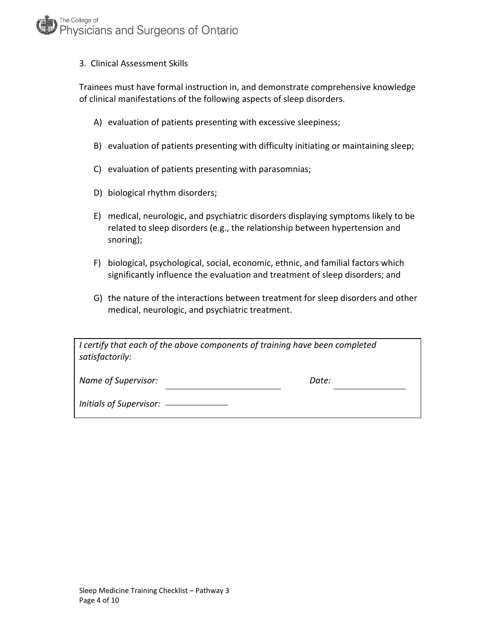## The College of Physicians and Surgeons of Ontario

#### 3. Clinical Assessment Skills

Trainees must have formal instruction in, and demonstrate comprehensive knowledge of clinical manifestations of the following aspects of sleep disorders.

- A) evaluation of patients presenting with excessive sleepiness;
- B) evaluation of patients presenting with difficulty initiating or maintaining sleep;
- C) evaluation of patients presenting with parasomnias;
- D) biological rhythm disorders;
- E) medical, neurologic, and psychiatric disorders displaying symptoms likely to be related to sleep disorders (e.g., the relationship between hypertension and snoring);
- F) biological, psychological, social, economic, ethnic, and familial factors which significantly influence the evaluation and treatment of sleep disorders; and
- G) the nature of the interactions between treatment for sleep disorders and other medical, neurologic, and psychiatric treatment.

| I certify that each of the above components of training have been completed |  |
|-----------------------------------------------------------------------------|--|
| satisfactorily:                                                             |  |

*Name of Supervisor: Date:*

*Initials of Supervisor:*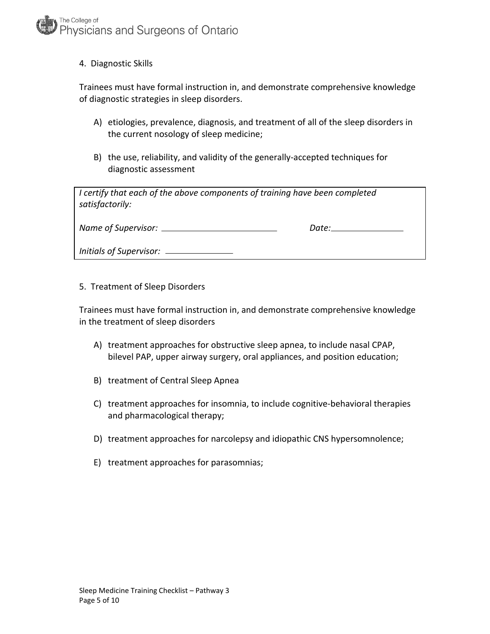4. Diagnostic Skills

Trainees must have formal instruction in, and demonstrate comprehensive knowledge of diagnostic strategies in sleep disorders.

- A) etiologies, prevalence, diagnosis, and treatment of all of the sleep disorders in the current nosology of sleep medicine;
- B) the use, reliability, and validity of the generally‐accepted techniques for diagnostic assessment

| I certify that each of the above components of training have been completed<br>satisfactorily: |                                                                                                                                                                                                                                |  |
|------------------------------------------------------------------------------------------------|--------------------------------------------------------------------------------------------------------------------------------------------------------------------------------------------------------------------------------|--|
|                                                                                                | Date: the contract of the contract of the contract of the contract of the contract of the contract of the contract of the contract of the contract of the contract of the contract of the contract of the contract of the cont |  |
|                                                                                                |                                                                                                                                                                                                                                |  |

5. Treatment of Sleep Disorders

Trainees must have formal instruction in, and demonstrate comprehensive knowledge in the treatment of sleep disorders

- A) treatment approaches for obstructive sleep apnea, to include nasal CPAP, bilevel PAP, upper airway surgery, oral appliances, and position education;
- B) treatment of Central Sleep Apnea
- C) treatment approaches for insomnia, to include cognitive‐behavioral therapies and pharmacological therapy;
- D) treatment approaches for narcolepsy and idiopathic CNS hypersomnolence;
- E) treatment approaches for parasomnias;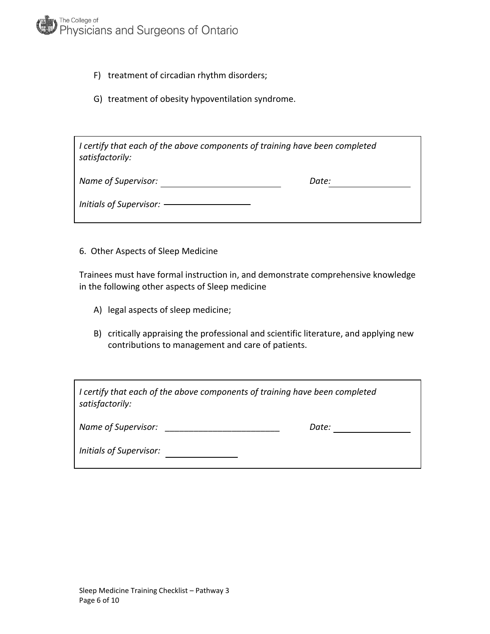

- F) treatment of circadian rhythm disorders;
- G) treatment of obesity hypoventilation syndrome.

*I certify that each of the above components of training have been completed satisfactorily:*

*Name of Supervisor: Date: Initials of Supervisor:*

6. Other Aspects of Sleep Medicine

Trainees must have formal instruction in, and demonstrate comprehensive knowledge in the following other aspects of Sleep medicine

- A) legal aspects of sleep medicine;
- B) critically appraising the professional and scientific literature, and applying new contributions to management and care of patients.

| I certify that each of the above components of training have been completed<br>satisfactorily: |       |  |
|------------------------------------------------------------------------------------------------|-------|--|
| Name of Supervisor:                                                                            | Date: |  |
| <b>Initials of Supervisor:</b>                                                                 |       |  |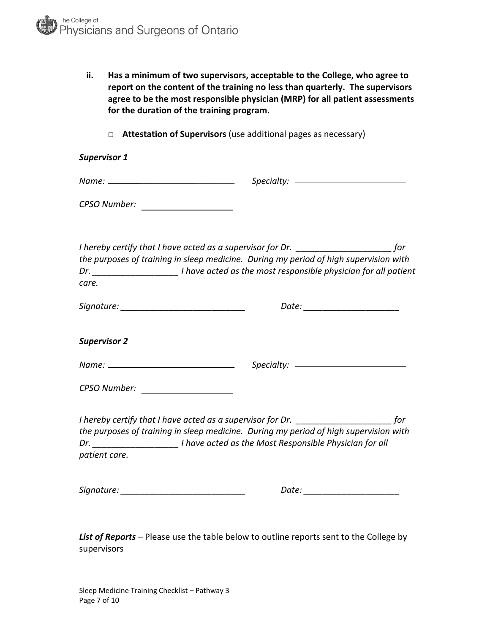| ii. | Has a minimum of two supervisors, acceptable to the College, who agree to     |
|-----|-------------------------------------------------------------------------------|
|     | report on the content of the training no less than quarterly. The supervisors |
|     | agree to be the most responsible physician (MRP) for all patient assessments  |
|     | for the duration of the training program.                                     |

□ **Attestation of Supervisors** (use additional pages as necessary)

| <b>Supervisor 1</b>              |                                                                                                                                                                                        |  |
|----------------------------------|----------------------------------------------------------------------------------------------------------------------------------------------------------------------------------------|--|
|                                  |                                                                                                                                                                                        |  |
|                                  |                                                                                                                                                                                        |  |
| care.                            | the purposes of training in sleep medicine. During my period of high supervision with<br>Dr. ___________________________I have acted as the most responsible physician for all patient |  |
|                                  | Date: ________________________                                                                                                                                                         |  |
| <b>Supervisor 2</b>              |                                                                                                                                                                                        |  |
|                                  |                                                                                                                                                                                        |  |
| CPSO Number: ___________________ |                                                                                                                                                                                        |  |
| patient care.                    | the purposes of training in sleep medicine. During my period of high supervision with<br>Dr. __________________________I have acted as the Most Responsible Physician for all          |  |
|                                  | Date: _______________________                                                                                                                                                          |  |
|                                  |                                                                                                                                                                                        |  |

*List of Reports* – Please use the table below to outline reports sent to the College by supervisors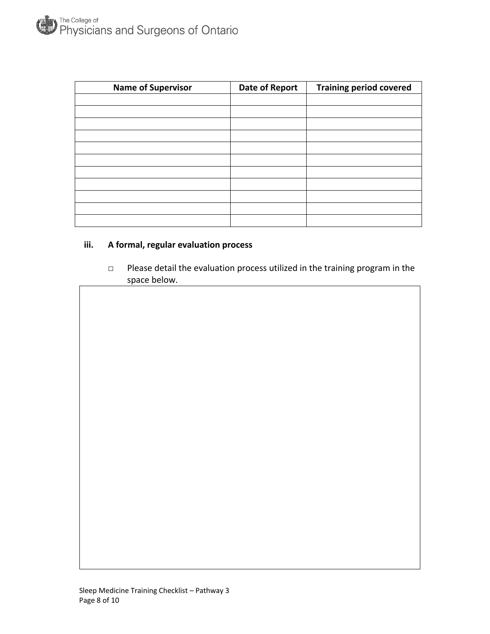| <b>Name of Supervisor</b> | <b>Date of Report</b> | <b>Training period covered</b> |
|---------------------------|-----------------------|--------------------------------|
|                           |                       |                                |
|                           |                       |                                |
|                           |                       |                                |
|                           |                       |                                |
|                           |                       |                                |
|                           |                       |                                |
|                           |                       |                                |
|                           |                       |                                |
|                           |                       |                                |
|                           |                       |                                |
|                           |                       |                                |

# **iii. A formal, regular evaluation process**

 □ Please detail the evaluation process utilized in the training program in the space below.

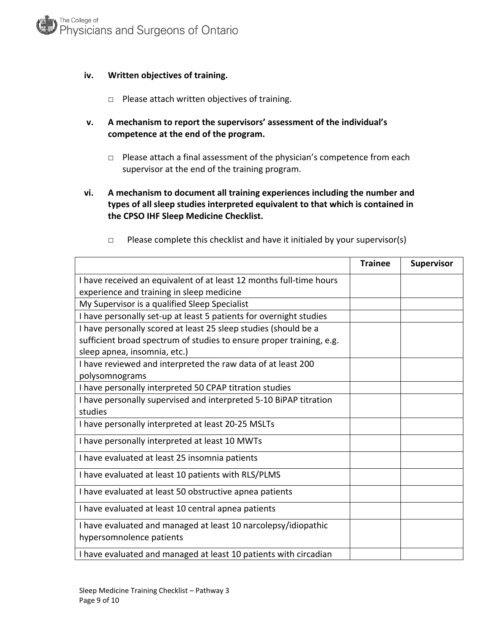## **iv. Written objectives of training.**

- □ Please attach written objectives of training.
- **v. A mechanism to report the supervisors' assessment of the individual's competence at the end of the program.**
	- □ Please attach a final assessment of the physician's competence from each supervisor at the end of the training program.
- **vi. A mechanism to document all training experiences including the number and types of all sleep studies interpreted equivalent to that which is contained in the CPSO IHF Sleep Medicine Checklist.**

|                                                                                            | <b>Trainee</b> | <b>Supervisor</b> |
|--------------------------------------------------------------------------------------------|----------------|-------------------|
| I have received an equivalent of at least 12 months full-time hours                        |                |                   |
| experience and training in sleep medicine                                                  |                |                   |
| My Supervisor is a qualified Sleep Specialist                                              |                |                   |
| I have personally set-up at least 5 patients for overnight studies                         |                |                   |
| I have personally scored at least 25 sleep studies (should be a                            |                |                   |
| sufficient broad spectrum of studies to ensure proper training, e.g.                       |                |                   |
| sleep apnea, insomnia, etc.)                                                               |                |                   |
| I have reviewed and interpreted the raw data of at least 200<br>polysomnograms             |                |                   |
| I have personally interpreted 50 CPAP titration studies                                    |                |                   |
| I have personally supervised and interpreted 5-10 BiPAP titration                          |                |                   |
| studies                                                                                    |                |                   |
| I have personally interpreted at least 20-25 MSLTs                                         |                |                   |
| I have personally interpreted at least 10 MWTs                                             |                |                   |
| I have evaluated at least 25 insomnia patients                                             |                |                   |
| I have evaluated at least 10 patients with RLS/PLMS                                        |                |                   |
| I have evaluated at least 50 obstructive apnea patients                                    |                |                   |
| I have evaluated at least 10 central apnea patients                                        |                |                   |
| I have evaluated and managed at least 10 narcolepsy/idiopathic<br>hypersomnolence patients |                |                   |
| I have evaluated and managed at least 10 patients with circadian                           |                |                   |

 $\Box$  Please complete this checklist and have it initialed by your supervisor(s)